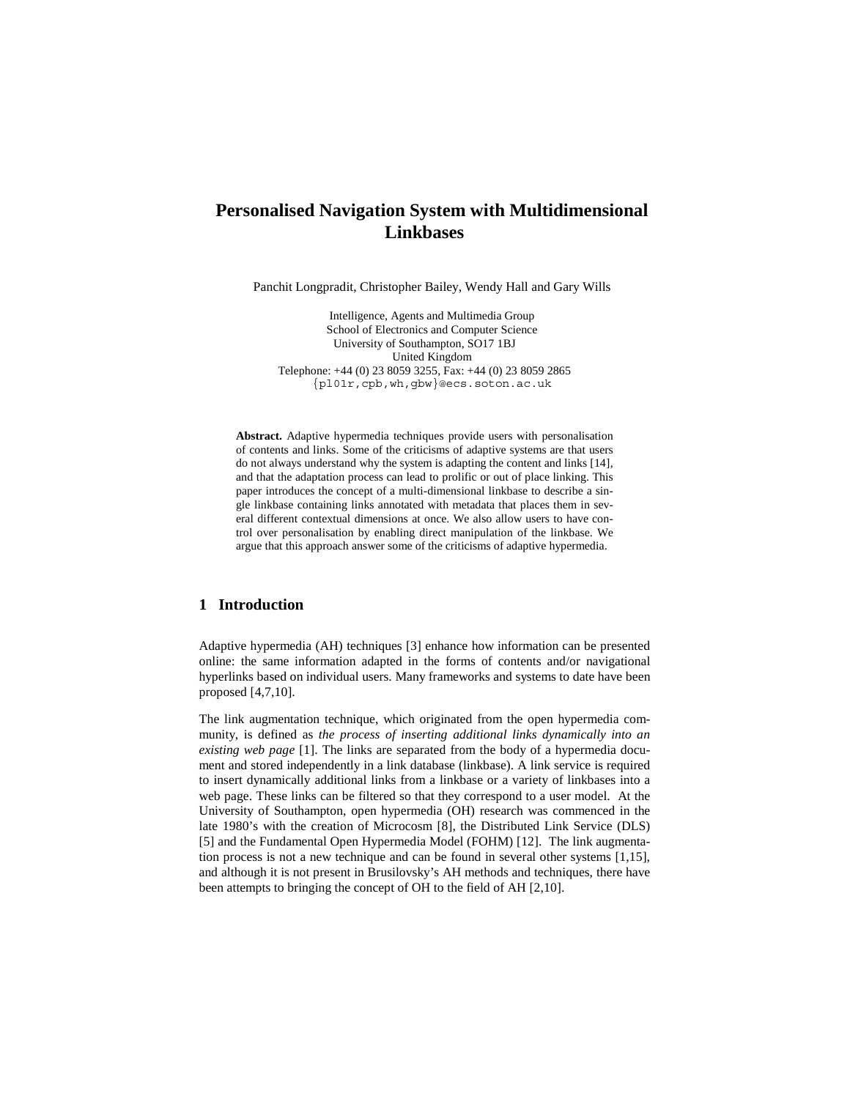# **Personalised Navigation System with Multidimensional Linkbases**

Panchit Longpradit, Christopher Bailey, Wendy Hall and Gary Wills

Intelligence, Agents and Multimedia Group School of Electronics and Computer Science University of Southampton, SO17 1BJ United Kingdom Telephone: +44 (0) 23 8059 3255, Fax: +44 (0) 23 8059 2865 {pl01r,cpb,wh,gbw}@ecs.soton.ac.uk

**Abstract.** Adaptive hypermedia techniques provide users with personalisation of contents and links. Some of the criticisms of adaptive systems are that users do not always understand why the system is adapting the content and links [14], and that the adaptation process can lead to prolific or out of place linking. This paper introduces the concept of a multi-dimensional linkbase to describe a single linkbase containing links annotated with metadata that places them in several different contextual dimensions at once. We also allow users to have control over personalisation by enabling direct manipulation of the linkbase. We argue that this approach answer some of the criticisms of adaptive hypermedia.

#### **1 Introduction**

Adaptive hypermedia (AH) techniques [3] enhance how information can be presented online: the same information adapted in the forms of contents and/or navigational hyperlinks based on individual users. Many frameworks and systems to date have been proposed [4,7,10].

The link augmentation technique, which originated from the open hypermedia community, is defined as *the process of inserting additional links dynamically into an existing web page* [1]. The links are separated from the body of a hypermedia document and stored independently in a link database (linkbase). A link service is required to insert dynamically additional links from a linkbase or a variety of linkbases into a web page. These links can be filtered so that they correspond to a user model. At the University of Southampton, open hypermedia (OH) research was commenced in the late 1980's with the creation of Microcosm [8], the Distributed Link Service (DLS) [5] and the Fundamental Open Hypermedia Model (FOHM) [12]. The link augmentation process is not a new technique and can be found in several other systems [1,15], and although it is not present in Brusilovsky's AH methods and techniques, there have been attempts to bringing the concept of OH to the field of AH [2,10].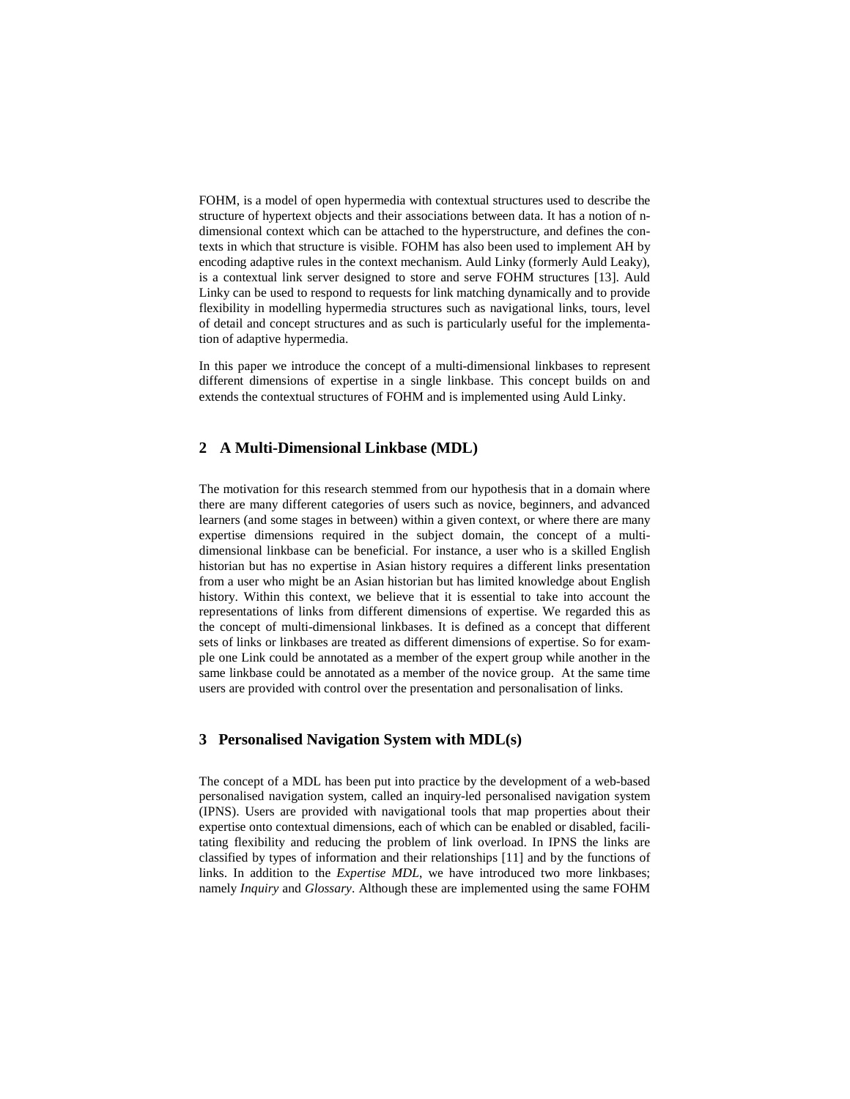FOHM, is a model of open hypermedia with contextual structures used to describe the structure of hypertext objects and their associations between data. It has a notion of ndimensional context which can be attached to the hyperstructure, and defines the contexts in which that structure is visible. FOHM has also been used to implement AH by encoding adaptive rules in the context mechanism. Auld Linky (formerly Auld Leaky), is a contextual link server designed to store and serve FOHM structures [13]. Auld Linky can be used to respond to requests for link matching dynamically and to provide flexibility in modelling hypermedia structures such as navigational links, tours, level of detail and concept structures and as such is particularly useful for the implementation of adaptive hypermedia.

In this paper we introduce the concept of a multi-dimensional linkbases to represent different dimensions of expertise in a single linkbase. This concept builds on and extends the contextual structures of FOHM and is implemented using Auld Linky.

## **2 A Multi-Dimensional Linkbase (MDL)**

The motivation for this research stemmed from our hypothesis that in a domain where there are many different categories of users such as novice, beginners, and advanced learners (and some stages in between) within a given context, or where there are many expertise dimensions required in the subject domain, the concept of a multidimensional linkbase can be beneficial. For instance, a user who is a skilled English historian but has no expertise in Asian history requires a different links presentation from a user who might be an Asian historian but has limited knowledge about English history. Within this context, we believe that it is essential to take into account the representations of links from different dimensions of expertise. We regarded this as the concept of multi-dimensional linkbases. It is defined as a concept that different sets of links or linkbases are treated as different dimensions of expertise. So for example one Link could be annotated as a member of the expert group while another in the same linkbase could be annotated as a member of the novice group. At the same time users are provided with control over the presentation and personalisation of links.

#### **3 Personalised Navigation System with MDL(s)**

The concept of a MDL has been put into practice by the development of a web-based personalised navigation system, called an inquiry-led personalised navigation system (IPNS). Users are provided with navigational tools that map properties about their expertise onto contextual dimensions, each of which can be enabled or disabled, facilitating flexibility and reducing the problem of link overload. In IPNS the links are classified by types of information and their relationships [11] and by the functions of links. In addition to the *Expertise MDL*, we have introduced two more linkbases; namely *Inquiry* and *Glossary*. Although these are implemented using the same FOHM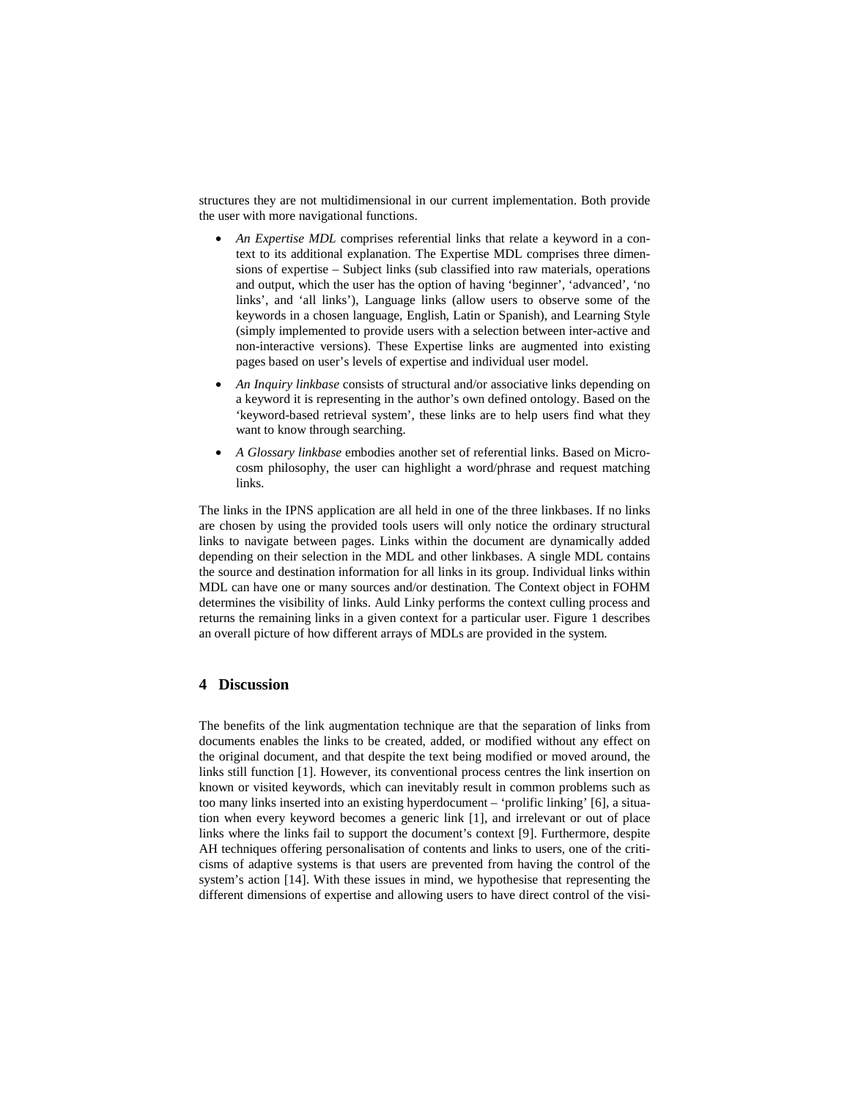structures they are not multidimensional in our current implementation. Both provide the user with more navigational functions.

- *An Expertise MDL* comprises referential links that relate a keyword in a context to its additional explanation. The Expertise MDL comprises three dimensions of expertise – Subject links (sub classified into raw materials, operations and output, which the user has the option of having 'beginner', 'advanced', 'no links', and 'all links'), Language links (allow users to observe some of the keywords in a chosen language, English, Latin or Spanish), and Learning Style (simply implemented to provide users with a selection between inter-active and non-interactive versions). These Expertise links are augmented into existing pages based on user's levels of expertise and individual user model.
- *An Inquiry linkbase* consists of structural and/or associative links depending on a keyword it is representing in the author's own defined ontology. Based on the 'keyword-based retrieval system', these links are to help users find what they want to know through searching.
- *A Glossary linkbase* embodies another set of referential links. Based on Microcosm philosophy, the user can highlight a word/phrase and request matching links.

The links in the IPNS application are all held in one of the three linkbases. If no links are chosen by using the provided tools users will only notice the ordinary structural links to navigate between pages. Links within the document are dynamically added depending on their selection in the MDL and other linkbases. A single MDL contains the source and destination information for all links in its group. Individual links within MDL can have one or many sources and/or destination. The Context object in FOHM determines the visibility of links. Auld Linky performs the context culling process and returns the remaining links in a given context for a particular user. Figure 1 describes an overall picture of how different arrays of MDLs are provided in the system.

#### **4 Discussion**

The benefits of the link augmentation technique are that the separation of links from documents enables the links to be created, added, or modified without any effect on the original document, and that despite the text being modified or moved around, the links still function [1]. However, its conventional process centres the link insertion on known or visited keywords, which can inevitably result in common problems such as too many links inserted into an existing hyperdocument – 'prolific linking' [6], a situation when every keyword becomes a generic link [1], and irrelevant or out of place links where the links fail to support the document's context [9]. Furthermore, despite AH techniques offering personalisation of contents and links to users, one of the criticisms of adaptive systems is that users are prevented from having the control of the system's action [14]. With these issues in mind, we hypothesise that representing the different dimensions of expertise and allowing users to have direct control of the visi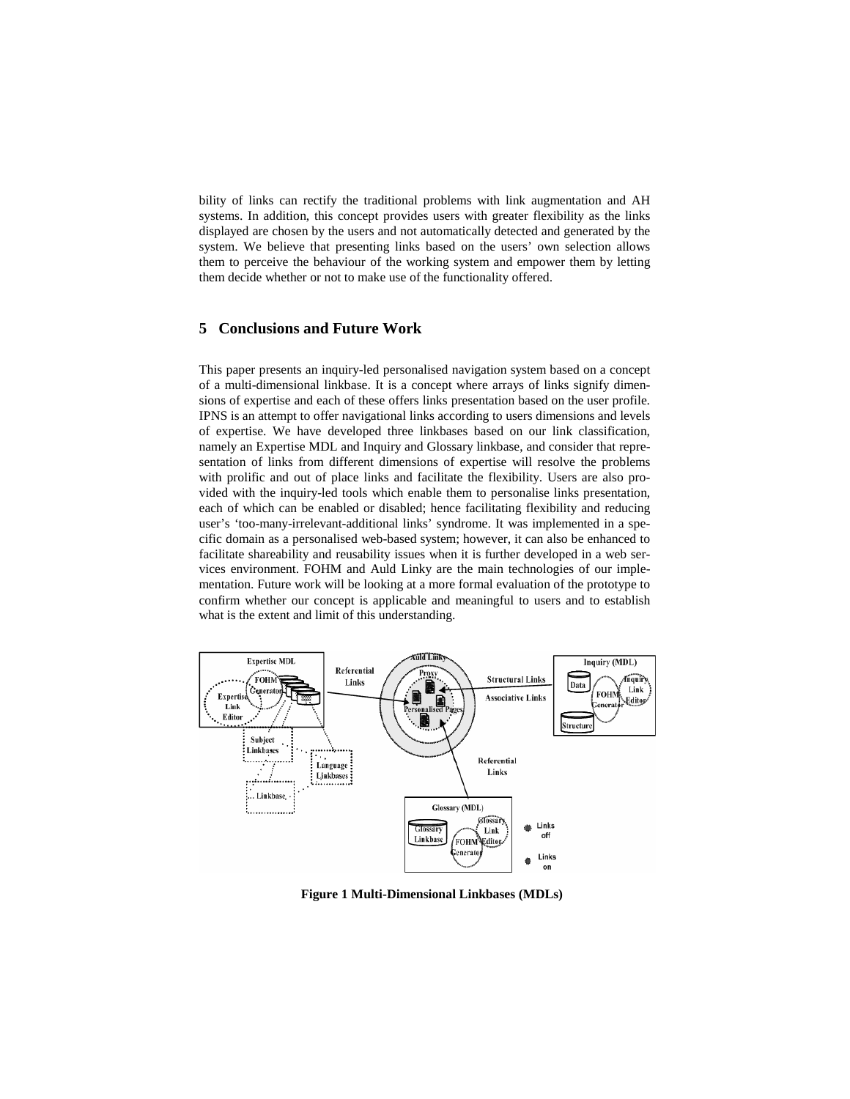bility of links can rectify the traditional problems with link augmentation and AH systems. In addition, this concept provides users with greater flexibility as the links displayed are chosen by the users and not automatically detected and generated by the system. We believe that presenting links based on the users' own selection allows them to perceive the behaviour of the working system and empower them by letting them decide whether or not to make use of the functionality offered.

# **5 Conclusions and Future Work**

This paper presents an inquiry-led personalised navigation system based on a concept of a multi-dimensional linkbase. It is a concept where arrays of links signify dimensions of expertise and each of these offers links presentation based on the user profile. IPNS is an attempt to offer navigational links according to users dimensions and levels of expertise. We have developed three linkbases based on our link classification, namely an Expertise MDL and Inquiry and Glossary linkbase, and consider that representation of links from different dimensions of expertise will resolve the problems with prolific and out of place links and facilitate the flexibility. Users are also provided with the inquiry-led tools which enable them to personalise links presentation, each of which can be enabled or disabled; hence facilitating flexibility and reducing user's 'too-many-irrelevant-additional links' syndrome. It was implemented in a specific domain as a personalised web-based system; however, it can also be enhanced to facilitate shareability and reusability issues when it is further developed in a web services environment. FOHM and Auld Linky are the main technologies of our implementation. Future work will be looking at a more formal evaluation of the prototype to confirm whether our concept is applicable and meaningful to users and to establish what is the extent and limit of this understanding.



**Figure 1 Multi-Dimensional Linkbases (MDLs)**